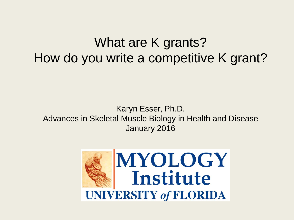## What are K grants? How do you write a competitive K grant?

#### Karyn Esser, Ph.D. Advances in Skeletal Muscle Biology in Health and Disease January 2016

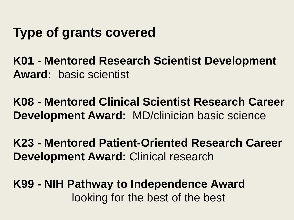## **Type of grants covered**

**K01 - Mentored Research Scientist Development Award:** basic scientist

**K08 - Mentored Clinical Scientist Research Career Development Award:** MD/clinician basic science

**K23 - Mentored Patient-Oriented Research Career Development Award:** Clinical research

**K99 - NIH Pathway to Independence Award** looking for the best of the best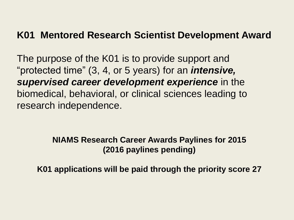#### **K01 Mentored Research Scientist Development Award**

The purpose of the K01 is to provide support and "protected time" (3, 4, or 5 years) for an *intensive, supervised career development experience* in the biomedical, behavioral, or clinical sciences leading to research independence.

#### **NIAMS Research Career Awards Paylines for 2015 (2016 paylines pending)**

**K01 applications will be paid through the priority score 27**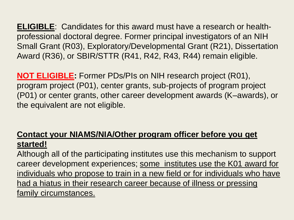**ELIGIBLE**: Candidates for this award must have a research or healthprofessional doctoral degree. Former principal investigators of an NIH Small Grant (R03), Exploratory/Developmental Grant (R21), Dissertation Award (R36), or SBIR/STTR (R41, R42, R43, R44) remain eligible.

**NOT ELIGIBLE:** Former PDs/PIs on NIH research project (R01), program project (P01), center grants, sub-projects of program project (P01) or center grants, other career development awards (K–awards), or the equivalent are not eligible.

#### **Contact your NIAMS/NIA/Other program officer before you get started!**

Although all of the participating institutes use this mechanism to support career development experiences; some institutes use the K01 award for individuals who propose to train in a new field or for individuals who have had a hiatus in their research career because of illness or pressing family circumstances.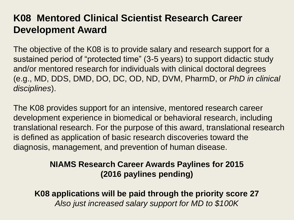### **K08 Mentored Clinical Scientist Research Career Development Award**

The objective of the K08 is to provide salary and research support for a sustained period of "protected time" (3-5 years) to support didactic study and/or mentored research for individuals with clinical doctoral degrees (e.g., MD, DDS, DMD, DO, DC, OD, ND, DVM, PharmD, or *PhD in clinical disciplines*).

The K08 provides support for an intensive, mentored research career development experience in biomedical or behavioral research, including translational research. For the purpose of this award, translational research is defined as application of basic research discoveries toward the diagnosis, management, and prevention of human disease.

#### **NIAMS Research Career Awards Paylines for 2015 (2016 paylines pending)**

**K08 applications will be paid through the priority score 27** *Also just increased salary support for MD to \$100K*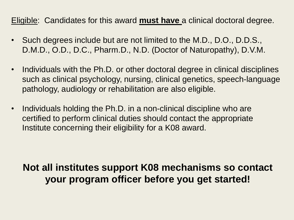#### Eligible: Candidates for this award **must have** a clinical doctoral degree.

- Such degrees include but are not limited to the M.D., D.O., D.D.S., D.M.D., O.D., D.C., Pharm.D., N.D. (Doctor of Naturopathy), D.V.M.
- Individuals with the Ph.D. or other doctoral degree in clinical disciplines such as clinical psychology, nursing, clinical genetics, speech-language pathology, audiology or rehabilitation are also eligible.
- Individuals holding the Ph.D. in a non-clinical discipline who are certified to perform clinical duties should contact the appropriate Institute concerning their eligibility for a K08 award.

## **Not all institutes support K08 mechanisms so contact your program officer before you get started!**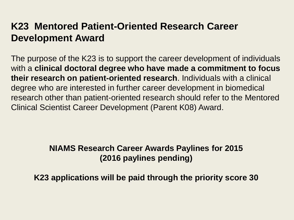## **K23 Mentored Patient-Oriented Research Career Development Award**

The purpose of the K23 is to support the career development of individuals with a **clinical doctoral degree who have made a commitment to focus their research on patient-oriented research**. Individuals with a clinical degree who are interested in further career development in biomedical research other than patient-oriented research should refer to the Mentored Clinical Scientist Career Development (Parent K08) Award.

#### **NIAMS Research Career Awards Paylines for 2015 (2016 paylines pending)**

**K23 applications will be paid through the priority score 30**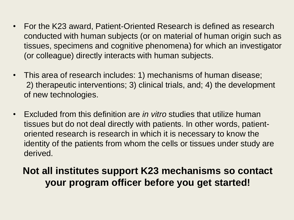- For the K23 award, Patient-Oriented Research is defined as research conducted with human subjects (or on material of human origin such as tissues, specimens and cognitive phenomena) for which an investigator (or colleague) directly interacts with human subjects.
- This area of research includes: 1) mechanisms of human disease; 2) therapeutic interventions; 3) clinical trials, and; 4) the development of new technologies.
- Excluded from this definition are *in vitro* studies that utilize human tissues but do not deal directly with patients. In other words, patientoriented research is research in which it is necessary to know the identity of the patients from whom the cells or tissues under study are derived.

### **Not all institutes support K23 mechanisms so contact your program officer before you get started!**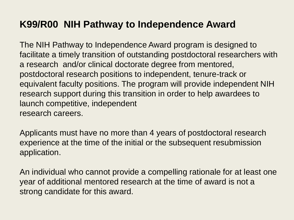### **K99/R00 NIH Pathway to Independence Award**

The NIH Pathway to Independence Award program is designed to facilitate a timely transition of outstanding postdoctoral researchers with a research and/or clinical doctorate degree from mentored, postdoctoral research positions to independent, tenure-track or equivalent faculty positions. The program will provide independent NIH research support during this transition in order to help awardees to launch competitive, independent research careers.

Applicants must have no more than 4 years of postdoctoral research experience at the time of the initial or the subsequent resubmission application.

An individual who cannot provide a compelling rationale for at least one year of additional mentored research at the time of award is not a strong candidate for this award.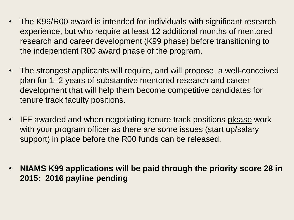- The K99/R00 award is intended for individuals with significant research experience, but who require at least 12 additional months of mentored research and career development (K99 phase) before transitioning to the independent R00 award phase of the program.
- The strongest applicants will require, and will propose, a well-conceived plan for 1–2 years of substantive mentored research and career development that will help them become competitive candidates for tenure track faculty positions.
- IFF awarded and when negotiating tenure track positions please work with your program officer as there are some issues (start up/salary support) in place before the R00 funds can be released.
- **NIAMS K99 applications will be paid through the priority score 28 in 2015: 2016 payline pending**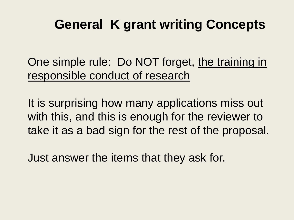# **General K grant writing Concepts**

One simple rule: Do NOT forget, the training in responsible conduct of research

It is surprising how many applications miss out with this, and this is enough for the reviewer to take it as a bad sign for the rest of the proposal.

Just answer the items that they ask for.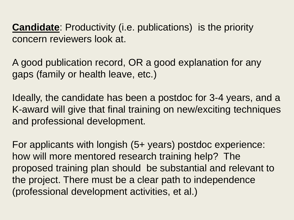**Candidate**: Productivity (i.e. publications) is the priority concern reviewers look at.

A good publication record, OR a good explanation for any gaps (family or health leave, etc.)

Ideally, the candidate has been a postdoc for 3-4 years, and a K-award will give that final training on new/exciting techniques and professional development.

For applicants with longish (5+ years) postdoc experience: how will more mentored research training help? The proposed training plan should be substantial and relevant to the project. There must be a clear path to independence (professional development activities, et al.)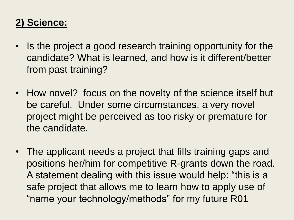## **2) Science:**

- Is the project a good research training opportunity for the candidate? What is learned, and how is it different/better from past training?
- How novel? focus on the novelty of the science itself but be careful. Under some circumstances, a very novel project might be perceived as too risky or premature for the candidate.
- The applicant needs a project that fills training gaps and positions her/him for competitive R-grants down the road. A statement dealing with this issue would help: "this is a safe project that allows me to learn how to apply use of "name your technology/methods" for my future R01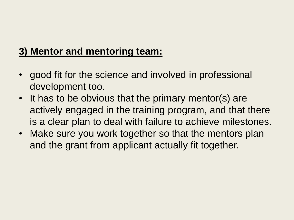## **3) Mentor and mentoring team:**

- good fit for the science and involved in professional development too.
- It has to be obvious that the primary mentor(s) are actively engaged in the training program, and that there is a clear plan to deal with failure to achieve milestones.
- Make sure you work together so that the mentors plan and the grant from applicant actually fit together.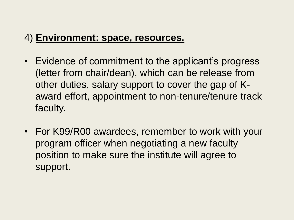### 4) **Environment: space, resources.**

- Evidence of commitment to the applicant's progress (letter from chair/dean), which can be release from other duties, salary support to cover the gap of Kaward effort, appointment to non-tenure/tenure track faculty.
- For K99/R00 awardees, remember to work with your program officer when negotiating a new faculty position to make sure the institute will agree to support.